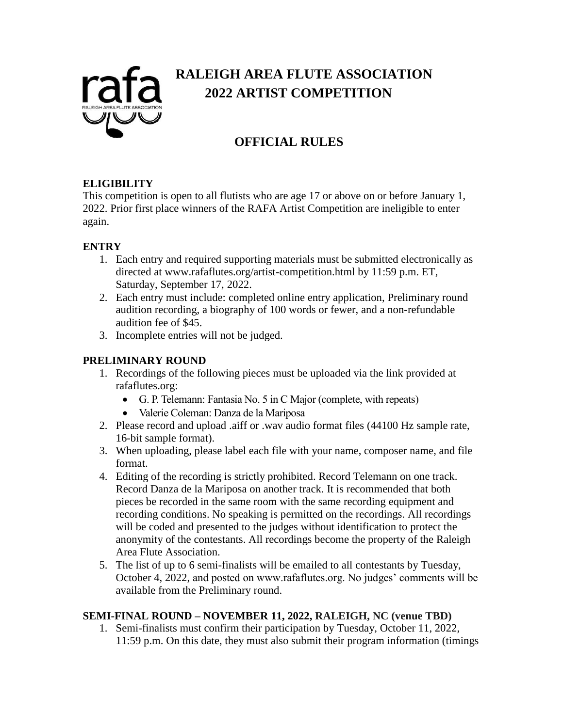

# **RALEIGH AREA FLUTE ASSOCIATION 2022 ARTIST COMPETITION**

# **OFFICIAL RULES**

#### **ELIGIBILITY**

This competition is open to all flutists who are age 17 or above on or before January 1, 2022. Prior first place winners of the RAFA Artist Competition are ineligible to enter again.

### **ENTRY**

- 1. Each entry and required supporting materials must be submitted electronically as directed at www.rafaflutes.org/artist-competition.html by 11:59 p.m. ET, Saturday, September 17, 2022.
- 2. Each entry must include: completed online entry application, Preliminary round audition recording, a biography of 100 words or fewer, and a non-refundable audition fee of \$45.
- 3. Incomplete entries will not be judged.

### **PRELIMINARY ROUND**

- 1. Recordings of the following pieces must be uploaded via the link provided at rafaflutes.org:
	- G. P. Telemann: Fantasia No. 5 in C Major (complete, with repeats)
	- Valerie Coleman: Danza de la Mariposa
- 2. Please record and upload .aiff or .wav audio format files (44100 Hz sample rate, 16-bit sample format).
- 3. When uploading, please label each file with your name, composer name, and file format.
- 4. Editing of the recording is strictly prohibited. Record Telemann on one track. Record Danza de la Mariposa on another track. It is recommended that both pieces be recorded in the same room with the same recording equipment and recording conditions. No speaking is permitted on the recordings. All recordings will be coded and presented to the judges without identification to protect the anonymity of the contestants. All recordings become the property of the Raleigh Area Flute Association.
- 5. The list of up to 6 semi-finalists will be emailed to all contestants by Tuesday, October 4, 2022, and posted on www.rafaflutes.org. No judges' comments will be available from the Preliminary round.

## **SEMI-FINAL ROUND – NOVEMBER 11, 2022, RALEIGH, NC (venue TBD)**

1. Semi-finalists must confirm their participation by Tuesday, October 11, 2022, 11:59 p.m. On this date, they must also submit their program information (timings